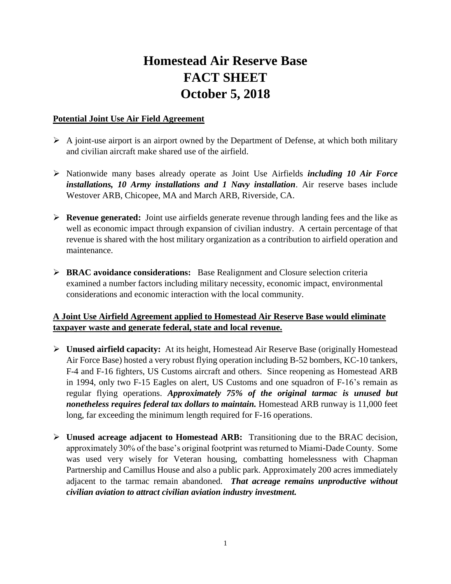## **Homestead Air Reserve Base FACT SHEET October 5, 2018**

## **Potential Joint Use Air Field Agreement**

- $\triangleright$  A joint-use airport is an airport owned by the Department of Defense, at which both military and civilian aircraft make shared use of the airfield.
- Nationwide many bases already operate as Joint Use Airfields *including 10 Air Force installations, 10 Army installations and 1 Navy installation*. Air reserve bases include Westover ARB, Chicopee, MA and March ARB, Riverside, CA.
- **Revenue generated:** Joint use airfields generate revenue through landing fees and the like as well as economic impact through expansion of civilian industry. A certain percentage of that revenue is shared with the host military organization as a contribution to airfield operation and maintenance.
- **BRAC avoidance considerations:** Base Realignment and Closure selection criteria examined a number factors including military necessity, economic impact, environmental considerations and economic interaction with the local community.

## **A Joint Use Airfield Agreement applied to Homestead Air Reserve Base would eliminate taxpayer waste and generate federal, state and local revenue.**

- **Unused airfield capacity:** At its height, Homestead Air Reserve Base (originally Homestead Air Force Base) hosted a very robust flying operation including B-52 bombers, KC-10 tankers, F-4 and F-16 fighters, US Customs aircraft and others. Since reopening as Homestead ARB in 1994, only two F-15 Eagles on alert, US Customs and one squadron of F-16's remain as regular flying operations. *Approximately 75% of the original tarmac is unused but nonetheless requires federal tax dollars to maintain.* Homestead ARB runway is 11,000 feet long, far exceeding the minimum length required for F-16 operations.
- **Unused acreage adjacent to Homestead ARB:** Transitioning due to the BRAC decision, approximately 30% of the base's original footprint was returned to Miami-Dade County. Some was used very wisely for Veteran housing, combatting homelessness with Chapman Partnership and Camillus House and also a public park. Approximately 200 acres immediately adjacent to the tarmac remain abandoned. *That acreage remains unproductive without civilian aviation to attract civilian aviation industry investment.*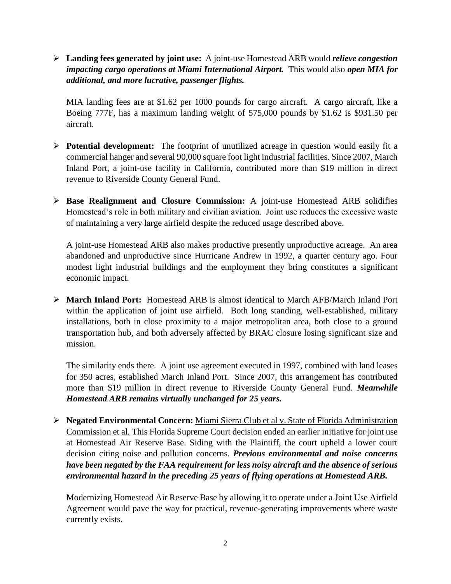**Landing fees generated by joint use:** A joint-use Homestead ARB would *relieve congestion impacting cargo operations at Miami International Airport.* This would also *open MIA for additional, and more lucrative, passenger flights.* 

MIA landing fees are at \$1.62 per 1000 pounds for cargo aircraft. A cargo aircraft, like a Boeing 777F, has a maximum landing weight of 575,000 pounds by \$1.62 is \$931.50 per aircraft.

- **Potential development:** The footprint of unutilized acreage in question would easily fit a commercial hanger and several 90,000 square foot light industrial facilities. Since 2007, March Inland Port, a joint-use facility in California, contributed more than \$19 million in direct revenue to Riverside County General Fund.
- **Base Realignment and Closure Commission:** A joint-use Homestead ARB solidifies Homestead's role in both military and civilian aviation. Joint use reduces the excessive waste of maintaining a very large airfield despite the reduced usage described above.

A joint-use Homestead ARB also makes productive presently unproductive acreage. An area abandoned and unproductive since Hurricane Andrew in 1992, a quarter century ago. Four modest light industrial buildings and the employment they bring constitutes a significant economic impact.

 **March Inland Port:** Homestead ARB is almost identical to March AFB/March Inland Port within the application of joint use airfield. Both long standing, well-established, military installations, both in close proximity to a major metropolitan area, both close to a ground transportation hub, and both adversely affected by BRAC closure losing significant size and mission.

The similarity ends there. A joint use agreement executed in 1997, combined with land leases for 350 acres, established March Inland Port. Since 2007, this arrangement has contributed more than \$19 million in direct revenue to Riverside County General Fund. *Meanwhile Homestead ARB remains virtually unchanged for 25 years.* 

 **Negated Environmental Concern:** Miami Sierra Club et al v. State of Florida Administration Commission et al. This Florida Supreme Court decision ended an earlier initiative for joint use at Homestead Air Reserve Base. Siding with the Plaintiff, the court upheld a lower court decision citing noise and pollution concerns. *Previous environmental and noise concerns have been negated by the FAA requirement for less noisy aircraft and the absence of serious environmental hazard in the preceding 25 years of flying operations at Homestead ARB.*

Modernizing Homestead Air Reserve Base by allowing it to operate under a Joint Use Airfield Agreement would pave the way for practical, revenue-generating improvements where waste currently exists.